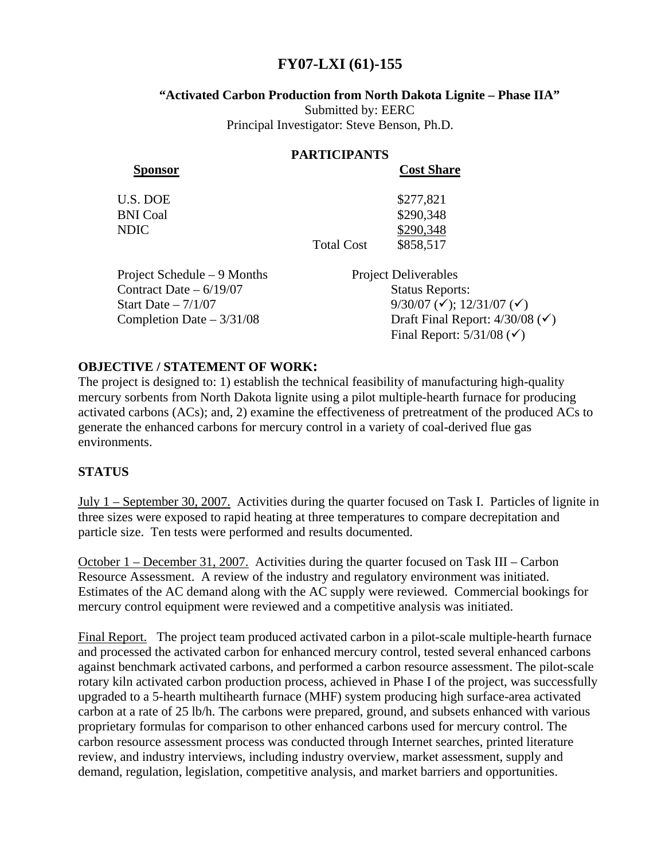# **FY07-LXI (61)-155**

#### **"Activated Carbon Production from North Dakota Lignite – Phase IIA"**

Submitted by: EERC Principal Investigator: Steve Benson, Ph.D.

#### **PARTICIPANTS**

**Sponsor Cost Share**

 $$277,821$ 

| U.S. DOE        |  |
|-----------------|--|
| <b>BNI</b> Coal |  |
| NDIC            |  |

\$290,348 \$290,348 Total Cost \$858,517

Project Schedule – 9 Months Project Deliverables Contract Date – 6/19/07 Status Reports: Start Date –  $7/1/07$  9/30/07 ( $\checkmark$ ); 12/31/07 ( $\checkmark$ )

Completion Date –  $3/31/08$  Draft Final Report:  $4/30/08$  ( $\checkmark$ ) Final Report:  $5/31/08$  ( $\checkmark$ )

### **OBJECTIVE / STATEMENT OF WORK:**

The project is designed to: 1) establish the technical feasibility of manufacturing high-quality mercury sorbents from North Dakota lignite using a pilot multiple-hearth furnace for producing activated carbons (ACs); and, 2) examine the effectiveness of pretreatment of the produced ACs to generate the enhanced carbons for mercury control in a variety of coal-derived flue gas environments.

## **STATUS**

July 1 – September 30, 2007. Activities during the quarter focused on Task I. Particles of lignite in three sizes were exposed to rapid heating at three temperatures to compare decrepitation and particle size. Ten tests were performed and results documented.

October 1 – December 31, 2007. Activities during the quarter focused on Task III – Carbon Resource Assessment. A review of the industry and regulatory environment was initiated. Estimates of the AC demand along with the AC supply were reviewed. Commercial bookings for mercury control equipment were reviewed and a competitive analysis was initiated.

Final Report. The project team produced activated carbon in a pilot-scale multiple-hearth furnace and processed the activated carbon for enhanced mercury control, tested several enhanced carbons against benchmark activated carbons, and performed a carbon resource assessment. The pilot-scale rotary kiln activated carbon production process, achieved in Phase I of the project, was successfully upgraded to a 5-hearth multihearth furnace (MHF) system producing high surface-area activated carbon at a rate of 25 lb/h. The carbons were prepared, ground, and subsets enhanced with various proprietary formulas for comparison to other enhanced carbons used for mercury control. The carbon resource assessment process was conducted through Internet searches, printed literature review, and industry interviews, including industry overview, market assessment, supply and demand, regulation, legislation, competitive analysis, and market barriers and opportunities.